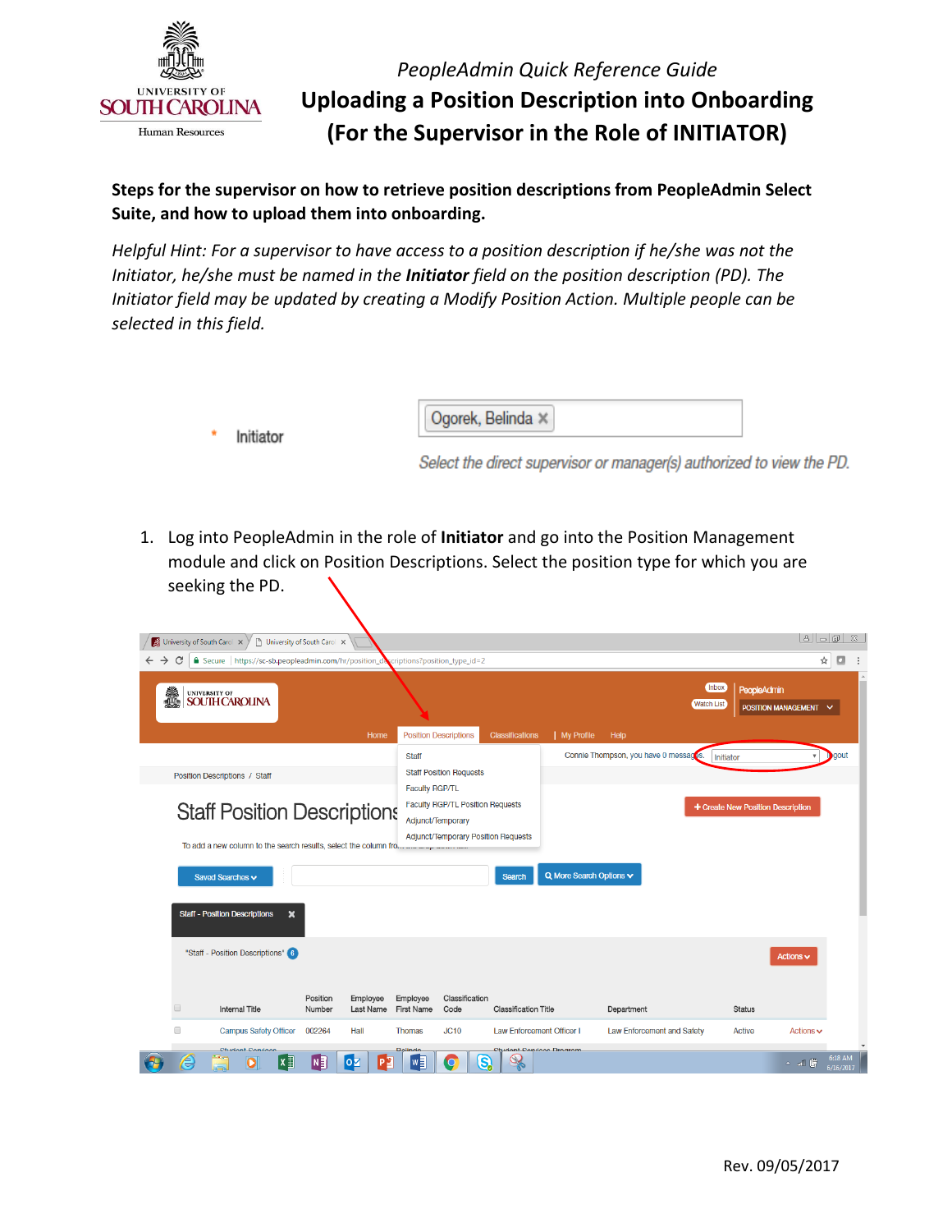

*PeopleAdmin Quick Reference Guide*  **Uploading a Position Description into Onboarding (For the Supervisor in the Role of INITIATOR)** 

 **Steps for the supervisor on how to retrieve position descriptions from PeopleAdmin Select Suite, and how to upload them into onboarding.** 

 *Helpful Hint: For a supervisor to have access to a position description if he/she was not the Initiator, he/she must be named in the Initiator field on the position description (PD). The Initiator field may be updated by creating a Modify Position Action. Multiple people can be selected in this field.* 

|  | Initiator |
|--|-----------|
|  |           |

Ogorek, Belinda X

Select the direct supervisor or manager(s) authorized to view the PD.

 1. Log into PeopleAdmin in the role of **Initiator** and go into the Position Management module and click on Position Descriptions. Select the position type for which you are seeking the PD.

| University of South Carol X<br>University of South Carol X                                                                |                                                                                 |                                                         | $\begin{array}{c c c c c c c c c} \hline \texttt{A} & \texttt{B} & \texttt{B} & \texttt{B} \end{array}$ |
|---------------------------------------------------------------------------------------------------------------------------|---------------------------------------------------------------------------------|---------------------------------------------------------|---------------------------------------------------------------------------------------------------------|
| ■ Secure   https://sc-sb.peopleadmin.com/hr/position_decriptions?position_type_id=2<br>C<br>$\rightarrow$<br>$\leftarrow$ |                                                                                 |                                                         | ☆<br>o                                                                                                  |
| UNIVERSITY OF<br>SOUTH CAROLINA<br>j.                                                                                     |                                                                                 | Inbox<br><b>Watch List</b>                              | <b>PeopleAdmin</b><br>POSITION MANAGEMENT<br>$\checkmark$                                               |
| Home                                                                                                                      | <b>Position Descriptions</b><br><b>Classifications</b>                          | My Profile<br>Help                                      |                                                                                                         |
|                                                                                                                           | <b>Staff</b>                                                                    | Connie Thompson, you have 0 messages.                   | <b>M</b> aout<br>Initiator                                                                              |
| Position Descriptions / Staff                                                                                             | <b>Staff Position Requests</b>                                                  |                                                         |                                                                                                         |
|                                                                                                                           | <b>Faculty RGP/TL</b>                                                           |                                                         |                                                                                                         |
| <b>Staff Position Descriptions</b>                                                                                        | Faculty RGP/TL Position Requests<br>Adjunct/Temporary                           |                                                         | + Create New Position Description                                                                       |
| To add a new column to the search results, select the column from the wave well as the column                             | Adjunct/Temporary Position Requests                                             |                                                         |                                                                                                         |
| Saved Searches v                                                                                                          | <b>Search</b>                                                                   | Q More Search Options v                                 |                                                                                                         |
| <b>Staff - Position Descriptions</b>                                                                                      |                                                                                 |                                                         |                                                                                                         |
| $\boldsymbol{\mathsf{x}}$                                                                                                 |                                                                                 |                                                         |                                                                                                         |
| "Staff - Position Descriptions" 6                                                                                         |                                                                                 |                                                         | Actions $\sim$                                                                                          |
| Position<br>Employee<br>$\Box$<br><b>Internal Title</b><br>Number<br>Last Name                                            | Classification<br>Employee<br>First Name<br><b>Classification Title</b><br>Code | Department                                              | <b>Status</b>                                                                                           |
| ⋒<br><b>Campus Safety Officer</b><br>002264<br>Hall                                                                       | <b>JC10</b><br><b>Thomas</b>                                                    | Law Enforcement Officer I<br>Law Enforcement and Safety | <b>Active</b><br>Actions $\sim$                                                                         |
| Chudont Consigne                                                                                                          | <b>Polindo</b>                                                                  | <b>Ctudent Consigne Dragram</b>                         | 6:18 AM                                                                                                 |
| e<br>N<br>O<br>$\overline{\text{o}}$<br>÷.                                                                                | Iw∃<br>S,<br>$\bullet$                                                          |                                                         | $\sim$ all $\widetilde{\mathbb{C}}$<br>6/16/2017                                                        |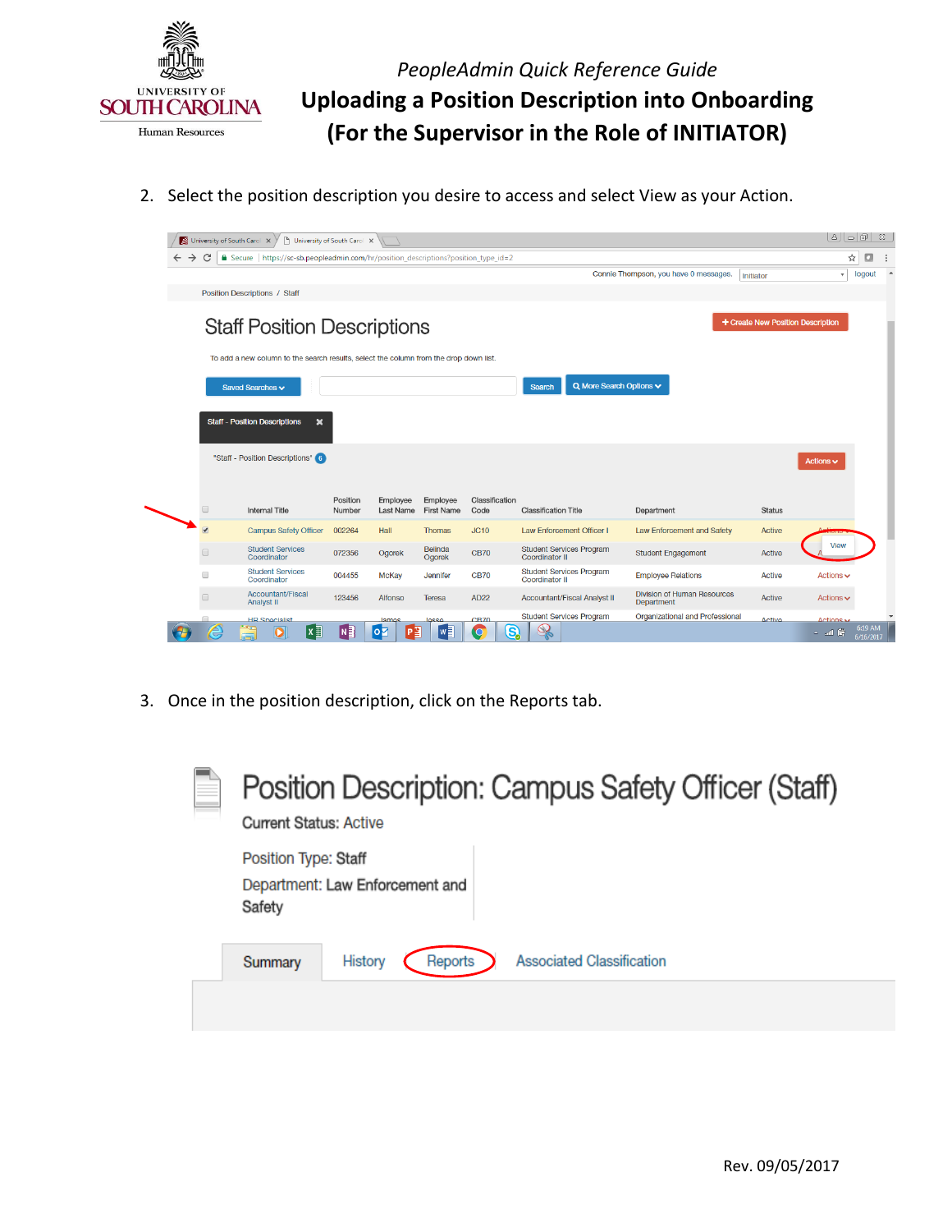

*PeopleAdmin Quick Reference Guide*  **Uploading a Position Description into Onboarding (For the Supervisor in the Role of INITIATOR)** 

2. Select the position description you desire to access and select View as your Action.



3. Once in the position description, click on the Reports tab.

| <b>Current Status: Active</b>  | Position Description: Campus Safety Officer (Staff)    |  |
|--------------------------------|--------------------------------------------------------|--|
| Position Type: Staff<br>Safety | Department: Law Enforcement and                        |  |
| Summary                        | History<br><b>Associated Classification</b><br>Reports |  |
|                                |                                                        |  |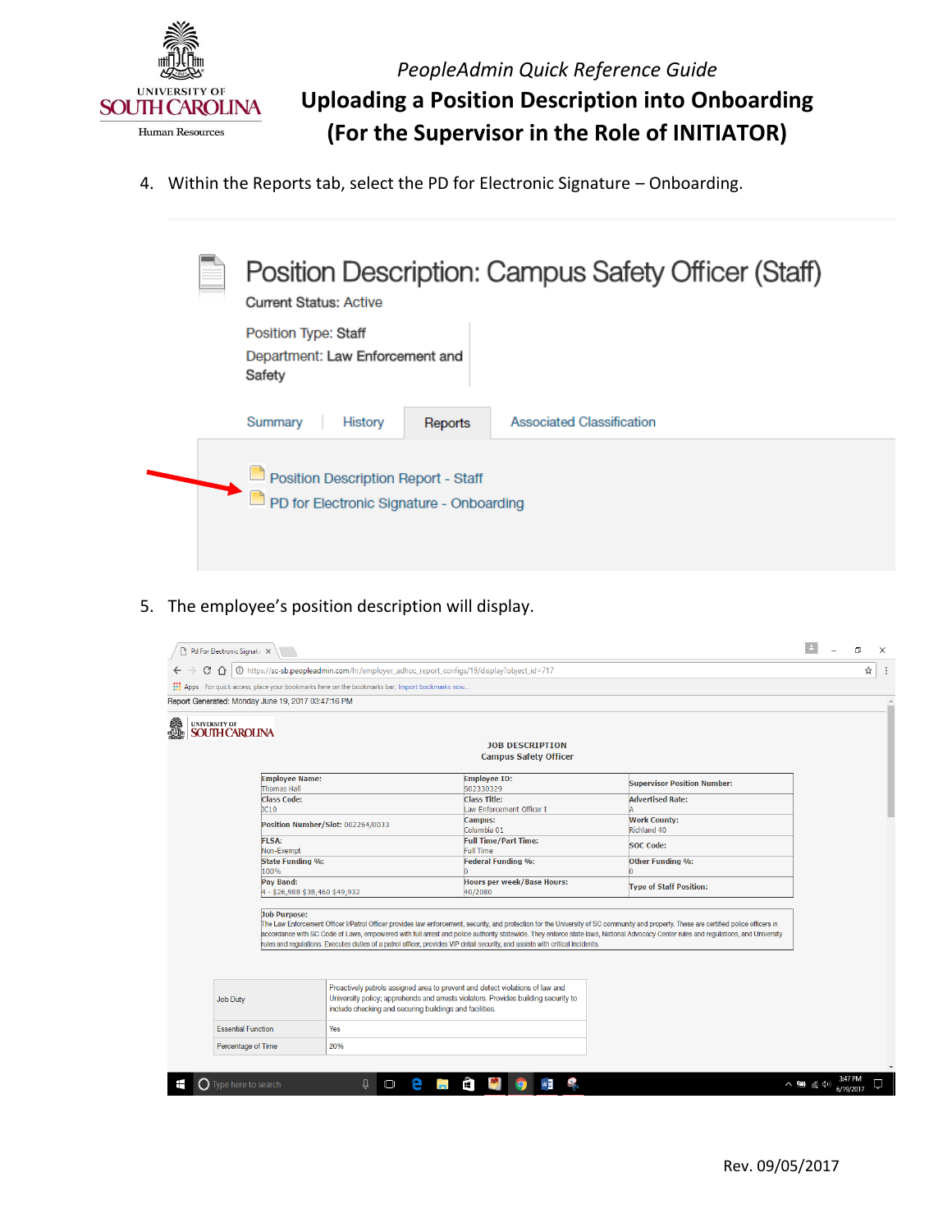

*PeopleAdmin Quick Reference Guide*  **Uploading a Position Description into Onboarding (For the Supervisor in the Role of INITIATOR)** 

4. Within the Reports tab, select the PD for Electronic Signature – Onboarding.

|  | Position Description: Campus Safety Officer (Staff)<br><b>Current Status: Active</b>   |
|--|----------------------------------------------------------------------------------------|
|  | Position Type: Staff<br>Department: Law Enforcement and<br>Safety                      |
|  | <b>Associated Classification</b><br>Summary<br>History<br>Reports                      |
|  | <b>Position Description Report - Staff</b><br>PD for Electronic Signature - Onboarding |

5. The employee's position description will display.

| Pd For Electronic Signatu X    |                                                    |     |                                                                                             |                                                                                                                                                                     |                                                                                                                                                                                                                                                                                                                                                                                |        | n. | $\times$ |
|--------------------------------|----------------------------------------------------|-----|---------------------------------------------------------------------------------------------|---------------------------------------------------------------------------------------------------------------------------------------------------------------------|--------------------------------------------------------------------------------------------------------------------------------------------------------------------------------------------------------------------------------------------------------------------------------------------------------------------------------------------------------------------------------|--------|----|----------|
| C<br>⇧                         |                                                    |     |                                                                                             | 177- Üb https://sc-sb.peopleadmin.com/hr/employer_adhoc_report_configs/19/display?object_id=717                                                                     |                                                                                                                                                                                                                                                                                                                                                                                |        | ☆  |          |
|                                |                                                    |     | Apps For quick access, place your bookmarks here on the bookmarks bar. Import bookmarks now |                                                                                                                                                                     |                                                                                                                                                                                                                                                                                                                                                                                |        |    |          |
|                                | Report Generated: Monday June 19, 2017 03:47:16 PM |     |                                                                                             |                                                                                                                                                                     |                                                                                                                                                                                                                                                                                                                                                                                |        |    |          |
| SOUTH CAROLINA                 |                                                    |     |                                                                                             | <b>JOB DESCRIPTION</b><br><b>Campus Safety Officer</b>                                                                                                              |                                                                                                                                                                                                                                                                                                                                                                                |        |    |          |
|                                | <b>Employee Name:</b><br><b>Thomas Hall</b>        |     |                                                                                             | <b>Employee ID:</b><br>S02330329                                                                                                                                    | <b>Supervisor Position Number:</b>                                                                                                                                                                                                                                                                                                                                             |        |    |          |
|                                | <b>Class Code:</b><br>IC10                         |     |                                                                                             | <b>Class Title:</b><br>Law Enforcement Officer I                                                                                                                    | <b>Advertised Rate:</b>                                                                                                                                                                                                                                                                                                                                                        |        |    |          |
|                                | Position Number/Slot: 002264/0033                  |     |                                                                                             | <b>Campus:</b><br>Columbia 01                                                                                                                                       | <b>Work County:</b><br>Richland 40                                                                                                                                                                                                                                                                                                                                             |        |    |          |
|                                | <b>FLSA:</b><br>Non-Exempt                         |     |                                                                                             | <b>Full Time/Part Time:</b><br>Full Time                                                                                                                            | <b>SOC Code:</b>                                                                                                                                                                                                                                                                                                                                                               |        |    |          |
|                                | <b>State Funding %:</b><br>100%                    |     |                                                                                             | <b>Federal Funding %:</b>                                                                                                                                           | <b>Other Funding %:</b>                                                                                                                                                                                                                                                                                                                                                        |        |    |          |
|                                | Pay Band:<br>4 - \$26,988 \$38,460 \$49,932        |     |                                                                                             | <b>Hours per week/Base Hours:</b><br>40/2080                                                                                                                        | <b>Type of Staff Position:</b>                                                                                                                                                                                                                                                                                                                                                 |        |    |          |
|                                | <b>Job Purpose:</b>                                |     |                                                                                             | rules and regulations. Executes duties of a patrol officer, provides VIP detail security, and assists with critical incidents.                                      | The Law Enforcement Officer I/Patrol Officer provides law enforcement, security, and protection for the University of SC community and property. These are certified police officers in<br>accordance with SC Code of Laws, empowered with full arrest and police authority statewide. They enforce state laws, National Advocacy Center rules and regulations, and University |        |    |          |
| <b>Job Duty</b>                |                                                    |     | include checking and securing buildings and facilities.                                     | Proactively patrols assigned area to prevent and detect violations of law and<br>University policy; apprehends and arrests violators. Provides building security to |                                                                                                                                                                                                                                                                                                                                                                                |        |    |          |
| <b>Essential Function</b>      |                                                    | Yes |                                                                                             |                                                                                                                                                                     |                                                                                                                                                                                                                                                                                                                                                                                |        |    |          |
| Percentage of Time             |                                                    | 20% |                                                                                             |                                                                                                                                                                     |                                                                                                                                                                                                                                                                                                                                                                                |        |    |          |
|                                |                                                    |     |                                                                                             |                                                                                                                                                                     |                                                                                                                                                                                                                                                                                                                                                                                |        |    |          |
| $\bigcirc$ Type here to search |                                                    | Q   | $\Box$<br><b>COL</b>                                                                        | m<br>w<br><b>lo</b>                                                                                                                                                 |                                                                                                                                                                                                                                                                                                                                                                                | 八国后(1) |    |          |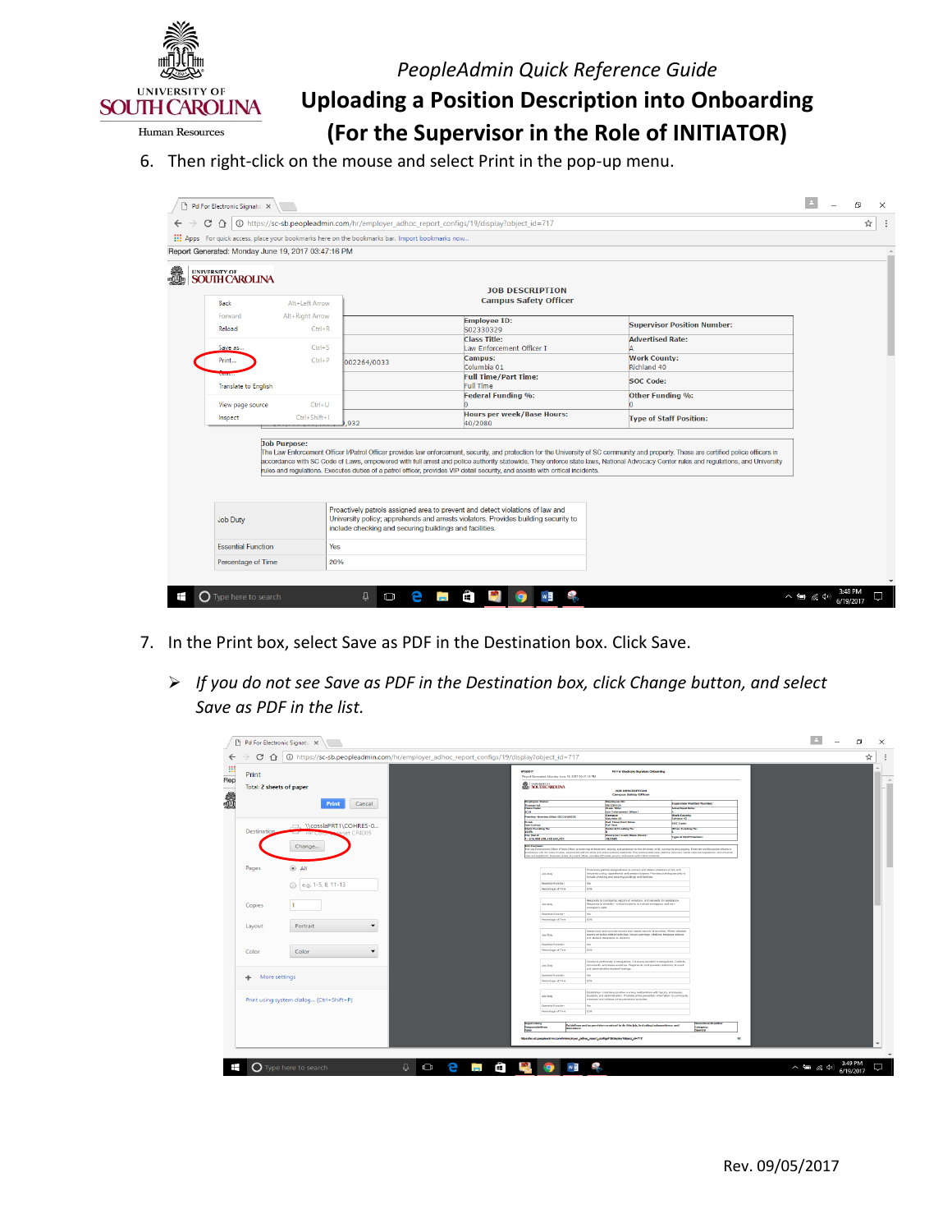

*PeopleAdmin Quick Reference Guide* 

**Uploading a Position Description into Onboarding (For the Supervisor in the Role of INITIATOR)** 

6. Then right-click on the mouse and select Print in the pop-up menu.

|                                                    |                               | :.: Apps For quick access, place your bookmarks here on the bookmarks bar. Import bookmarks now |                                                                                                                                                                                                                                                                                                                                                                                                                                                                                                                  |                                                |  |
|----------------------------------------------------|-------------------------------|-------------------------------------------------------------------------------------------------|------------------------------------------------------------------------------------------------------------------------------------------------------------------------------------------------------------------------------------------------------------------------------------------------------------------------------------------------------------------------------------------------------------------------------------------------------------------------------------------------------------------|------------------------------------------------|--|
| Report Generated: Monday June 19, 2017 03:47:16 PM |                               |                                                                                                 |                                                                                                                                                                                                                                                                                                                                                                                                                                                                                                                  |                                                |  |
| UNIVERSITY OF<br><b>SOUTH CAROLINA</b><br>Back     | Alt+Left Arrow                |                                                                                                 | <b>JOB DESCRIPTION</b><br><b>Campus Safety Officer</b>                                                                                                                                                                                                                                                                                                                                                                                                                                                           |                                                |  |
| Forward<br>Reload                                  | Alt+Right Arrow<br>$Ctrl + R$ |                                                                                                 | <b>Employee ID:</b><br>S02330329                                                                                                                                                                                                                                                                                                                                                                                                                                                                                 | <b>Supervisor Position Number:</b>             |  |
| Save as                                            | $Ctrl + S$                    |                                                                                                 | <b>Class Title:</b><br>Law Enforcement Officer I<br><b>Campus:</b>                                                                                                                                                                                                                                                                                                                                                                                                                                               | <b>Advertised Rate:</b><br><b>Work County:</b> |  |
| Print                                              | $Ctrl + P$                    | 002264/0033                                                                                     | Columbia 01<br><b>Full Time/Part Time:</b>                                                                                                                                                                                                                                                                                                                                                                                                                                                                       | Richland 40<br><b>SOC Code:</b>                |  |
| <b>Translate to English</b><br>View page source    | $Ctrl + U$                    |                                                                                                 | <b>Full Time</b><br><b>Federal Funding %:</b>                                                                                                                                                                                                                                                                                                                                                                                                                                                                    | <b>Other Funding %:</b>                        |  |
| Inspect                                            | Ctrl+Shift+I                  | 1,932                                                                                           | <b>Hours per week/Base Hours:</b><br>40/2080                                                                                                                                                                                                                                                                                                                                                                                                                                                                     | <b>Type of Staff Position:</b>                 |  |
|                                                    | <b>Job Purpose:</b>           |                                                                                                 | The Law Enforcement Officer I/Patrol Officer provides law enforcement, security, and protection for the University of SC community and property. These are certified police officers in<br>accordance with SC Code of Laws, empowered with full arrest and police authority statewide. They enforce state laws, National Advocacy Center rules and regulations, and University<br>rules and regulations. Executes duties of a patrol officer, provides VIP detail security, and assists with critical incidents. |                                                |  |
| <b>Job Duty</b>                                    |                               | include checking and securing buildings and facilities.                                         | Proactively patrols assigned area to prevent and detect violations of law and<br>University policy; apprehends and arrests violators. Provides building security to                                                                                                                                                                                                                                                                                                                                              |                                                |  |
|                                                    |                               | Yes                                                                                             |                                                                                                                                                                                                                                                                                                                                                                                                                                                                                                                  |                                                |  |
| <b>Essential Function</b>                          |                               |                                                                                                 |                                                                                                                                                                                                                                                                                                                                                                                                                                                                                                                  |                                                |  |

- 7. In the Print box, select Save as PDF in the Destination box. Click Save.
	- *If you do not see Save as PDF in the Destination box, click Change button, and select Save as PDF in the list.*